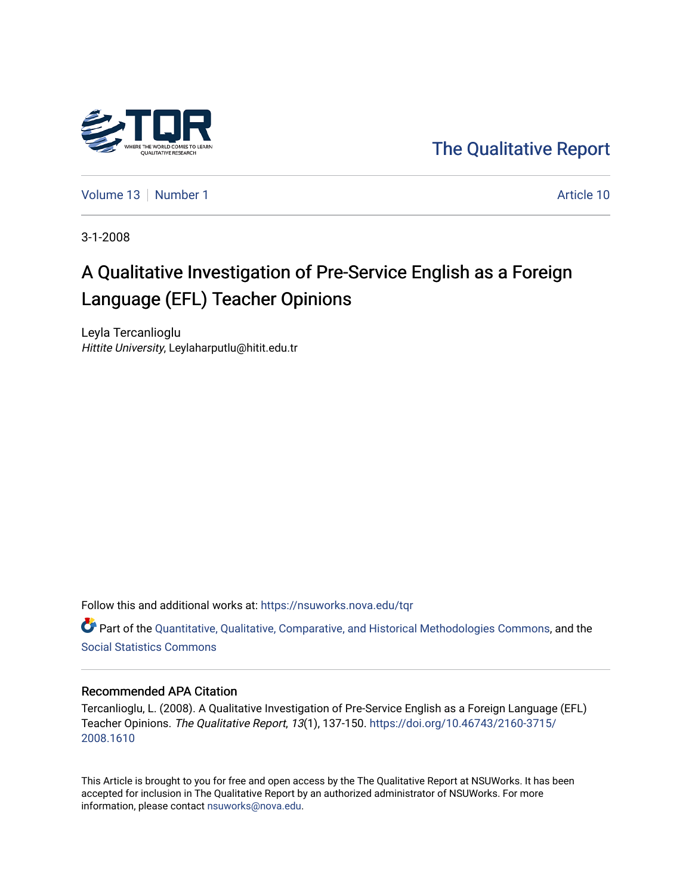

[The Qualitative Report](https://nsuworks.nova.edu/tqr) 

[Volume 13](https://nsuworks.nova.edu/tqr/vol13) [Number 1](https://nsuworks.nova.edu/tqr/vol13/iss1) Article 10

3-1-2008

# A Qualitative Investigation of Pre-Service English as a Foreign Language (EFL) Teacher Opinions

Leyla Tercanlioglu Hittite University, Leylaharputlu@hitit.edu.tr

Follow this and additional works at: [https://nsuworks.nova.edu/tqr](https://nsuworks.nova.edu/tqr?utm_source=nsuworks.nova.edu%2Ftqr%2Fvol13%2Fiss1%2F10&utm_medium=PDF&utm_campaign=PDFCoverPages) 

Part of the [Quantitative, Qualitative, Comparative, and Historical Methodologies Commons,](http://network.bepress.com/hgg/discipline/423?utm_source=nsuworks.nova.edu%2Ftqr%2Fvol13%2Fiss1%2F10&utm_medium=PDF&utm_campaign=PDFCoverPages) and the [Social Statistics Commons](http://network.bepress.com/hgg/discipline/1275?utm_source=nsuworks.nova.edu%2Ftqr%2Fvol13%2Fiss1%2F10&utm_medium=PDF&utm_campaign=PDFCoverPages) 

## Recommended APA Citation

Tercanlioglu, L. (2008). A Qualitative Investigation of Pre-Service English as a Foreign Language (EFL) Teacher Opinions. The Qualitative Report, 13(1), 137-150. [https://doi.org/10.46743/2160-3715/](https://doi.org/10.46743/2160-3715/2008.1610) [2008.1610](https://doi.org/10.46743/2160-3715/2008.1610) 

This Article is brought to you for free and open access by the The Qualitative Report at NSUWorks. It has been accepted for inclusion in The Qualitative Report by an authorized administrator of NSUWorks. For more information, please contact [nsuworks@nova.edu.](mailto:nsuworks@nova.edu)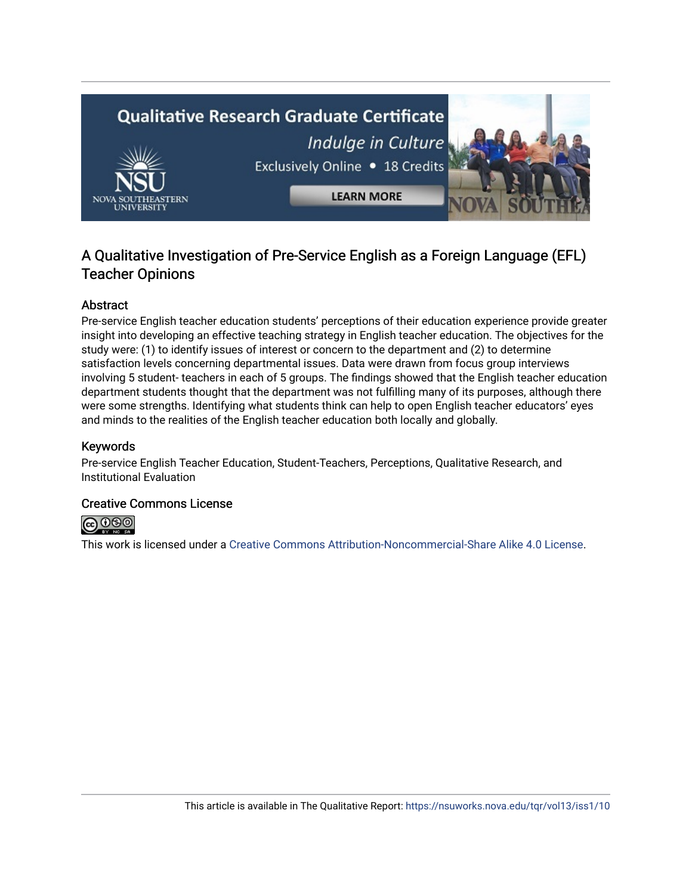

## A Qualitative Investigation of Pre-Service English as a Foreign Language (EFL) Teacher Opinions

## Abstract

Pre-service English teacher education students' perceptions of their education experience provide greater insight into developing an effective teaching strategy in English teacher education. The objectives for the study were: (1) to identify issues of interest or concern to the department and (2) to determine satisfaction levels concerning departmental issues. Data were drawn from focus group interviews involving 5 student- teachers in each of 5 groups. The findings showed that the English teacher education department students thought that the department was not fulfilling many of its purposes, although there were some strengths. Identifying what students think can help to open English teacher educators' eyes and minds to the realities of the English teacher education both locally and globally.

## Keywords

Pre-service English Teacher Education, Student-Teachers, Perceptions, Qualitative Research, and Institutional Evaluation

## Creative Commons License



This work is licensed under a [Creative Commons Attribution-Noncommercial-Share Alike 4.0 License](https://creativecommons.org/licenses/by-nc-sa/4.0/).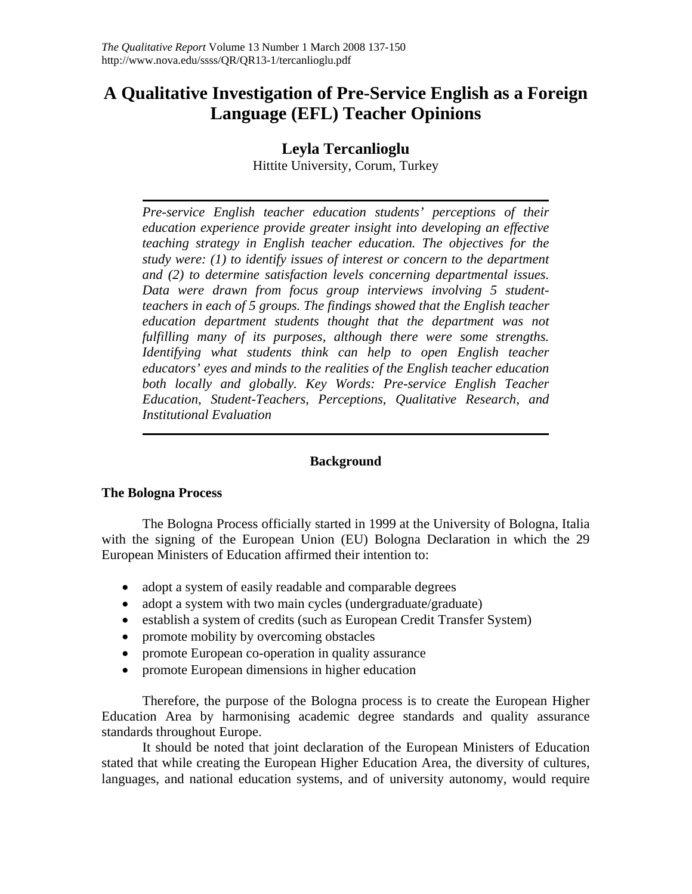## **A Qualitative Investigation of Pre-Service English as a Foreign Language (EFL) Teacher Opinions**

## **Leyla Tercanlioglu**

Hittite University, Corum, Turkey

*Pre-service English teacher education students' perceptions of their education experience provide greater insight into developing an effective teaching strategy in English teacher education. The objectives for the study were: (1) to identify issues of interest or concern to the department and (2) to determine satisfaction levels concerning departmental issues. Data were drawn from focus group interviews involving 5 studentteachers in each of 5 groups. The findings showed that the English teacher education department students thought that the department was not fulfilling many of its purposes, although there were some strengths. Identifying what students think can help to open English teacher educators' eyes and minds to the realities of the English teacher education*  both locally and globally. Key Words: Pre-service English Teacher *Education, Student-Teachers, Perceptions, Qualitative Research, and Institutional Evaluation* 

## **Background**

## **The Bologna Process**

The Bologna Process officially started in 1999 at the University of Bologna, Italia with the signing of the European Union (EU) Bologna Declaration in which the 29 European Ministers of Education affirmed their intention to:

- adopt a system of easily readable and comparable degrees
- adopt a system with two main cycles (undergraduate/graduate)
- establish a system of credits (such as European Credit Transfer System)
- promote mobility by overcoming obstacles
- promote European co-operation in quality assurance
- promote European dimensions in higher education

Therefore, the purpose of the Bologna process is to create the European Higher Education Area by harmonising academic degree standards and quality assurance standards throughout Europe.

It should be noted that joint declaration of the European Ministers of Education stated that while creating the European Higher Education Area, the diversity of cultures, languages, and national education systems, and of university autonomy, would require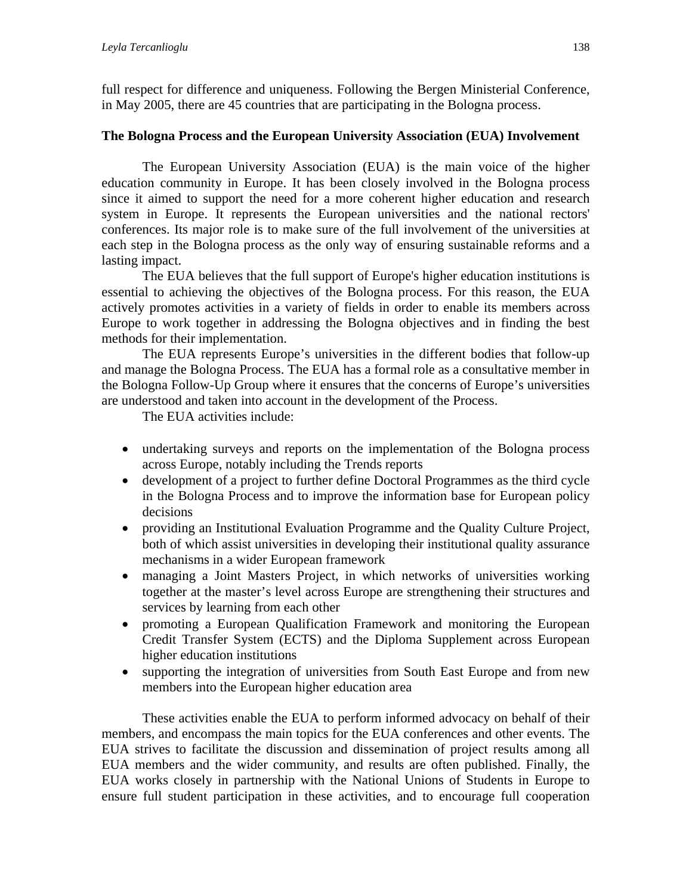full respect for difference and uniqueness. Following the Bergen Ministerial Conference, in May 2005, there are 45 countries that are participating in the Bologna process.

## **The Bologna Process and the European University Association (EUA) Involvement**

The European University Association (EUA) is the main voice of the higher education community in Europe. It has been closely involved in the Bologna process since it aimed to support the need for a more coherent higher education and research system in Europe. It represents the European universities and the national rectors' conferences. Its major role is to make sure of the full involvement of the universities at each step in the Bologna process as the only way of ensuring sustainable reforms and a lasting impact.

The EUA believes that the full support of Europe's higher education institutions is essential to achieving the objectives of the Bologna process. For this reason, the EUA actively promotes activities in a variety of fields in order to enable its members across Europe to work together in addressing the Bologna objectives and in finding the best methods for their implementation.

The EUA represents Europe's universities in the different bodies that follow-up and manage the Bologna Process. The EUA has a formal role as a consultative member in the Bologna Follow-Up Group where it ensures that the concerns of Europe's universities are understood and taken into account in the development of the Process.

The EUA activities include:

- undertaking surveys and reports on the implementation of the Bologna process across Europe, notably including the Trends reports
- development of a project to further define Doctoral Programmes as the third cycle in the Bologna Process and to improve the information base for European policy decisions
- providing an Institutional Evaluation Programme and the Quality Culture Project, both of which assist universities in developing their institutional quality assurance mechanisms in a wider European framework
- managing a Joint Masters Project, in which networks of universities working together at the master's level across Europe are strengthening their structures and services by learning from each other
- promoting a European Qualification Framework and monitoring the European Credit Transfer System (ECTS) and the Diploma Supplement across European higher education institutions
- supporting the integration of universities from South East Europe and from new members into the European higher education area

These activities enable the EUA to perform informed advocacy on behalf of their members, and encompass the main topics for the EUA conferences and other events. The EUA strives to facilitate the discussion and dissemination of project results among all EUA members and the wider community, and results are often published. Finally, the EUA works closely in partnership with the National Unions of Students in Europe to ensure full student participation in these activities, and to encourage full cooperation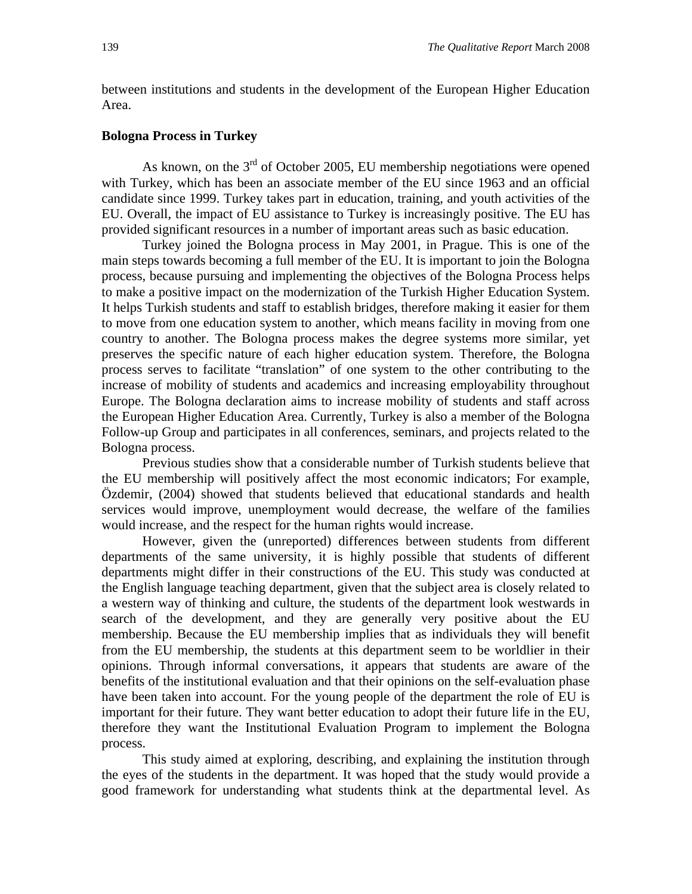between institutions and students in the development of the European Higher Education Area.

## **Bologna Process in Turkey**

As known, on the  $3<sup>rd</sup>$  of October 2005, EU membership negotiations were opened with Turkey, which has been an associate member of the EU since 1963 and an official candidate since 1999. Turkey takes part in education, training, and youth activities of the EU. Overall, the impact of EU assistance to Turkey is increasingly positive. The EU has provided significant resources in a number of important areas such as basic education.

Turkey joined the Bologna process in May 2001, in Prague. This is one of the main steps towards becoming a full member of the EU. It is important to join the Bologna process, because pursuing and implementing the objectives of the Bologna Process helps to make a positive impact on the modernization of the Turkish Higher Education System. It helps Turkish students and staff to establish bridges, therefore making it easier for them to move from one education system to another, which means facility in moving from one country to another. The Bologna process makes the degree systems more similar, yet preserves the specific nature of each higher education system. Therefore, the Bologna process serves to facilitate "translation" of one system to the other contributing to the increase of mobility of students and academics and increasing employability throughout Europe. The Bologna declaration aims to increase mobility of students and staff across the European Higher Education Area. Currently, Turkey is also a member of the Bologna Follow-up Group and participates in all conferences, seminars, and projects related to the Bologna process.

Previous studies show that a considerable number of Turkish students believe that the EU membership will positively affect the most economic indicators; For example, Özdemir, (2004) showed that students believed that educational standards and health services would improve, unemployment would decrease, the welfare of the families would increase, and the respect for the human rights would increase.

However, given the (unreported) differences between students from different departments of the same university, it is highly possible that students of different departments might differ in their constructions of the EU. This study was conducted at the English language teaching department, given that the subject area is closely related to a western way of thinking and culture, the students of the department look westwards in search of the development, and they are generally very positive about the EU membership. Because the EU membership implies that as individuals they will benefit from the EU membership, the students at this department seem to be worldlier in their opinions. Through informal conversations, it appears that students are aware of the benefits of the institutional evaluation and that their opinions on the self-evaluation phase have been taken into account. For the young people of the department the role of EU is important for their future. They want better education to adopt their future life in the EU, therefore they want the Institutional Evaluation Program to implement the Bologna process.

This study aimed at exploring, describing, and explaining the institution through the eyes of the students in the department. It was hoped that the study would provide a good framework for understanding what students think at the departmental level. As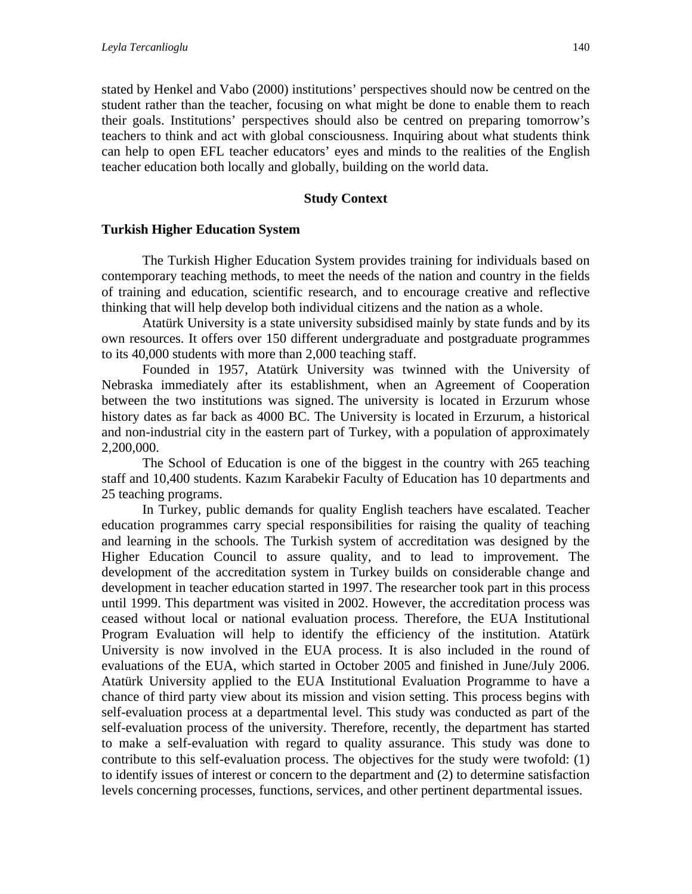stated by Henkel and Vabo (2000) institutions' perspectives should now be centred on the student rather than the teacher, focusing on what might be done to enable them to reach their goals. Institutions' perspectives should also be centred on preparing tomorrow's teachers to think and act with global consciousness. Inquiring about what students think can help to open EFL teacher educators' eyes and minds to the realities of the English teacher education both locally and globally, building on the world data.

## **Study Context**

## **Turkish Higher Education System**

The Turkish Higher Education System provides training for individuals based on contemporary teaching methods, to meet the needs of the nation and country in the fields of training and education, scientific research, and to encourage creative and reflective thinking that will help develop both individual citizens and the nation as a whole.

Atatürk University is a state university subsidised mainly by state funds and by its own resources. It offers over 150 different undergraduate and postgraduate programmes to its 40,000 students with more than 2,000 teaching staff.

Founded in 1957, Atatürk University was twinned with the University of Nebraska immediately after its establishment, when an Agreement of Cooperation between the two institutions was signed. The university is located in Erzurum whose history dates as far back as 4000 BC. The University is located in Erzurum, a historical and non-industrial city in the eastern part of Turkey, with a population of approximately 2,200,000.

The School of Education is one of the biggest in the country with 265 teaching staff and 10,400 students. Kazım Karabekir Faculty of Education has 10 departments and 25 teaching programs.

In Turkey, public demands for quality English teachers have escalated. Teacher education programmes carry special responsibilities for raising the quality of teaching and learning in the schools. The Turkish system of accreditation was designed by the Higher Education Council to assure quality, and to lead to improvement. The development of the accreditation system in Turkey builds on considerable change and development in teacher education started in 1997. The researcher took part in this process until 1999. This department was visited in 2002. However, the accreditation process was ceased without local or national evaluation process. Therefore, the EUA Institutional Program Evaluation will help to identify the efficiency of the institution. Atatürk University is now involved in the EUA process. It is also included in the round of evaluations of the EUA, which started in October 2005 and finished in June/July 2006. Atatürk University applied to the EUA Institutional Evaluation Programme to have a chance of third party view about its mission and vision setting. This process begins with self-evaluation process at a departmental level. This study was conducted as part of the self-evaluation process of the university. Therefore, recently, the department has started to make a self-evaluation with regard to quality assurance. This study was done to contribute to this self-evaluation process. The objectives for the study were twofold: (1) to identify issues of interest or concern to the department and (2) to determine satisfaction levels concerning processes, functions, services, and other pertinent departmental issues.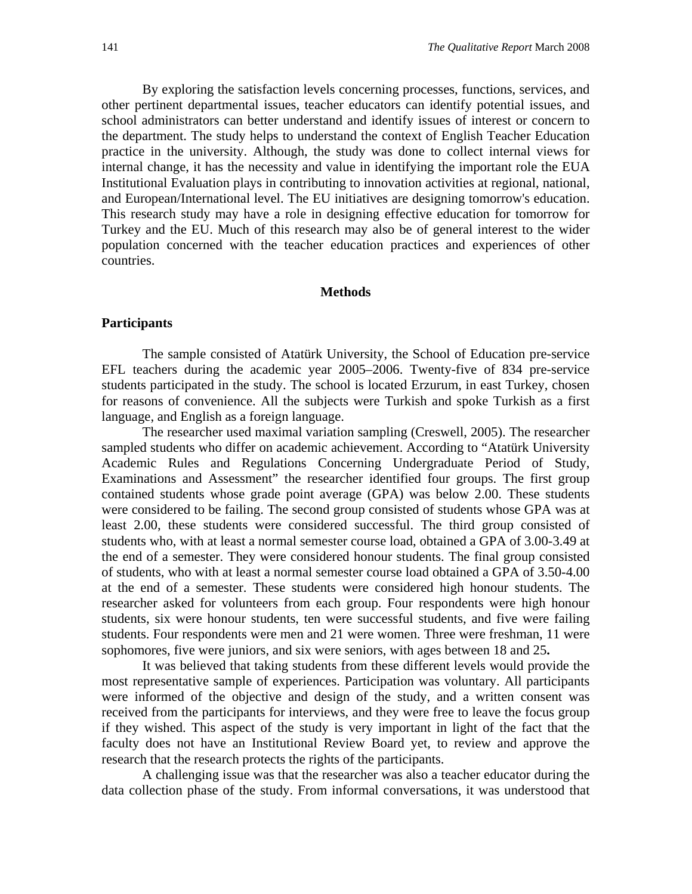By exploring the satisfaction levels concerning processes, functions, services, and other pertinent departmental issues, teacher educators can identify potential issues, and school administrators can better understand and identify issues of interest or concern to the department. The study helps to understand the context of English Teacher Education practice in the university. Although, the study was done to collect internal views for internal change, it has the necessity and value in identifying the important role the EUA Institutional Evaluation plays in contributing to innovation activities at regional, national, and European/International level. The EU initiatives are designing tomorrow's education. This research study may have a role in designing effective education for tomorrow for Turkey and the EU. Much of this research may also be of general interest to the wider population concerned with the teacher education practices and experiences of other countries.

#### **Methods**

#### **Participants**

The sample consisted of Atatürk University, the School of Education pre-service EFL teachers during the academic year 2005–2006. Twenty-five of 834 pre-service students participated in the study. The school is located Erzurum, in east Turkey, chosen for reasons of convenience. All the subjects were Turkish and spoke Turkish as a first language, and English as a foreign language.

The researcher used maximal variation sampling (Creswell, 2005). The researcher sampled students who differ on academic achievement. According to "Atatürk University Academic Rules and Regulations Concerning Undergraduate Period of Study, Examinations and Assessment" the researcher identified four groups. The first group contained students whose grade point average (GPA) was below 2.00. These students were considered to be failing. The second group consisted of students whose GPA was at least 2.00, these students were considered successful. The third group consisted of students who, with at least a normal semester course load, obtained a GPA of 3.00-3.49 at the end of a semester. They were considered honour students. The final group consisted of students, who with at least a normal semester course load obtained a GPA of 3.50-4.00 at the end of a semester. These students were considered high honour students. The researcher asked for volunteers from each group. Four respondents were high honour students, six were honour students, ten were successful students, and five were failing students. Four respondents were men and 21 were women. Three were freshman, 11 were sophomores, five were juniors, and six were seniors, with ages between 18 and 25**.** 

It was believed that taking students from these different levels would provide the most representative sample of experiences. Participation was voluntary. All participants were informed of the objective and design of the study, and a written consent was received from the participants for interviews, and they were free to leave the focus group if they wished. This aspect of the study is very important in light of the fact that the faculty does not have an Institutional Review Board yet, to review and approve the research that the research protects the rights of the participants.

A challenging issue was that the researcher was also a teacher educator during the data collection phase of the study. From informal conversations, it was understood that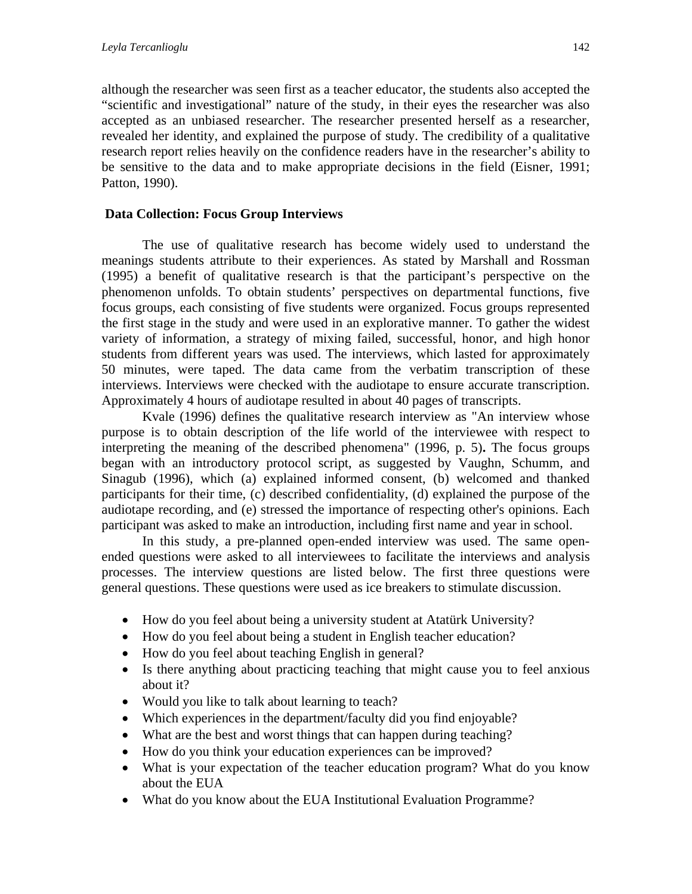although the researcher was seen first as a teacher educator, the students also accepted the "scientific and investigational" nature of the study, in their eyes the researcher was also accepted as an unbiased researcher. The researcher presented herself as a researcher, revealed her identity, and explained the purpose of study. The credibility of a qualitative research report relies heavily on the confidence readers have in the researcher's ability to be sensitive to the data and to make appropriate decisions in the field (Eisner, 1991; Patton, 1990).

## **Data Collection: Focus Group Interviews**

The use of qualitative research has become widely used to understand the meanings students attribute to their experiences. As stated by Marshall and Rossman (1995) a benefit of qualitative research is that the participant's perspective on the phenomenon unfolds. To obtain students' perspectives on departmental functions, five focus groups, each consisting of five students were organized. Focus groups represented the first stage in the study and were used in an explorative manner. To gather the widest variety of information, a strategy of mixing failed, successful, honor, and high honor students from different years was used. The interviews, which lasted for approximately 50 minutes, were taped. The data came from the verbatim transcription of these interviews. Interviews were checked with the audiotape to ensure accurate transcription. Approximately 4 hours of audiotape resulted in about 40 pages of transcripts.

Kvale (1996) defines the qualitative research interview as "An interview whose purpose is to obtain description of the life world of the interviewee with respect to interpreting the meaning of the described phenomena" (1996, p. 5)**.** The focus groups began with an introductory protocol script, as suggested by Vaughn, Schumm, and Sinagub (1996), which (a) explained informed consent, (b) welcomed and thanked participants for their time, (c) described confidentiality, (d) explained the purpose of the audiotape recording, and (e) stressed the importance of respecting other's opinions. Each participant was asked to make an introduction, including first name and year in school.

In this study, a pre-planned open-ended interview was used. The same openended questions were asked to all interviewees to facilitate the interviews and analysis processes. The interview questions are listed below. The first three questions were general questions. These questions were used as ice breakers to stimulate discussion.

- How do you feel about being a university student at Atatürk University?
- How do you feel about being a student in English teacher education?
- How do you feel about teaching English in general?
- Is there anything about practicing teaching that might cause you to feel anxious about it?
- Would you like to talk about learning to teach?
- Which experiences in the department/faculty did you find enjoyable?
- What are the best and worst things that can happen during teaching?
- How do you think your education experiences can be improved?
- What is your expectation of the teacher education program? What do you know about the EUA
- What do you know about the EUA Institutional Evaluation Programme?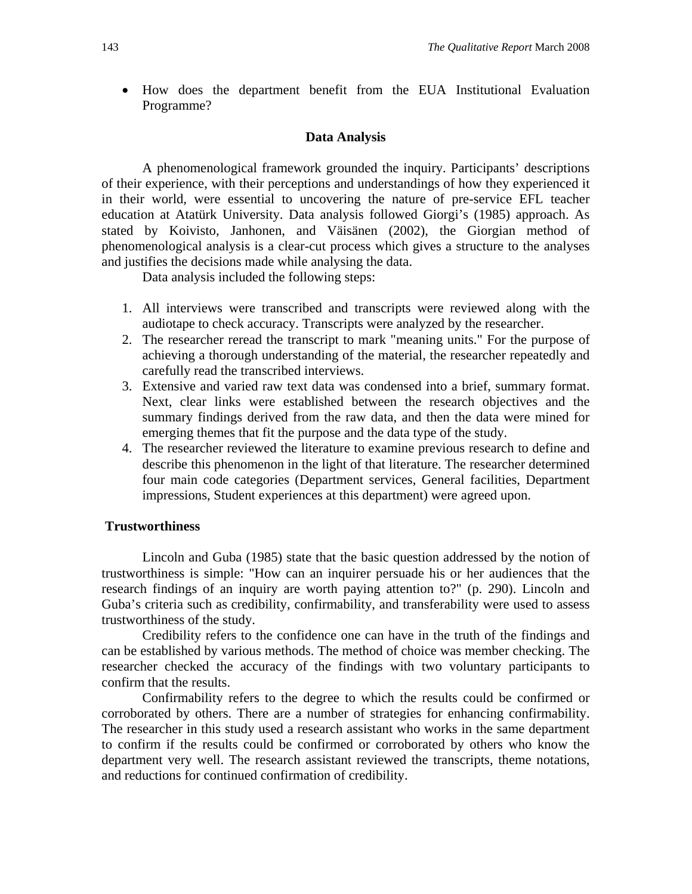• How does the department benefit from the EUA Institutional Evaluation Programme?

#### **Data Analysis**

A phenomenological framework grounded the inquiry. Participants' descriptions of their experience, with their perceptions and understandings of how they experienced it in their world, were essential to uncovering the nature of pre-service EFL teacher education at Atatürk University. Data analysis followed Giorgi's (1985) approach. As stated by Koivisto, Janhonen, and Väisänen (2002), the Giorgian method of phenomenological analysis is a clear-cut process which gives a structure to the analyses and justifies the decisions made while analysing the data.

Data analysis included the following steps:

- 1. All interviews were transcribed and transcripts were reviewed along with the audiotape to check accuracy. Transcripts were analyzed by the researcher.
- 2. The researcher reread the transcript to mark "meaning units." For the purpose of achieving a thorough understanding of the material, the researcher repeatedly and carefully read the transcribed interviews.
- 3. Extensive and varied raw text data was condensed into a brief, summary format. Next, clear links were established between the research objectives and the summary findings derived from the raw data, and then the data were mined for emerging themes that fit the purpose and the data type of the study.
- 4. The researcher reviewed the literature to examine previous research to define and describe this phenomenon in the light of that literature. The researcher determined four main code categories (Department services, General facilities, Department impressions, Student experiences at this department) were agreed upon.

## **Trustworthiness**

Lincoln and Guba (1985) state that the basic question addressed by the notion of trustworthiness is simple: "How can an inquirer persuade his or her audiences that the research findings of an inquiry are worth paying attention to?" (p. 290). Lincoln and Guba's criteria such as credibility, confirmability, and transferability were used to assess trustworthiness of the study.

Credibility refers to the confidence one can have in the truth of the findings and can be established by various methods. The method of choice was member checking. The researcher checked the accuracy of the findings with two voluntary participants to confirm that the results.

Confirmability refers to the degree to which the results could be confirmed or corroborated by others. There are a number of strategies for enhancing confirmability. The researcher in this study used a research assistant who works in the same department to confirm if the results could be confirmed or corroborated by others who know the department very well. The research assistant reviewed the transcripts, theme notations, and reductions for continued confirmation of credibility.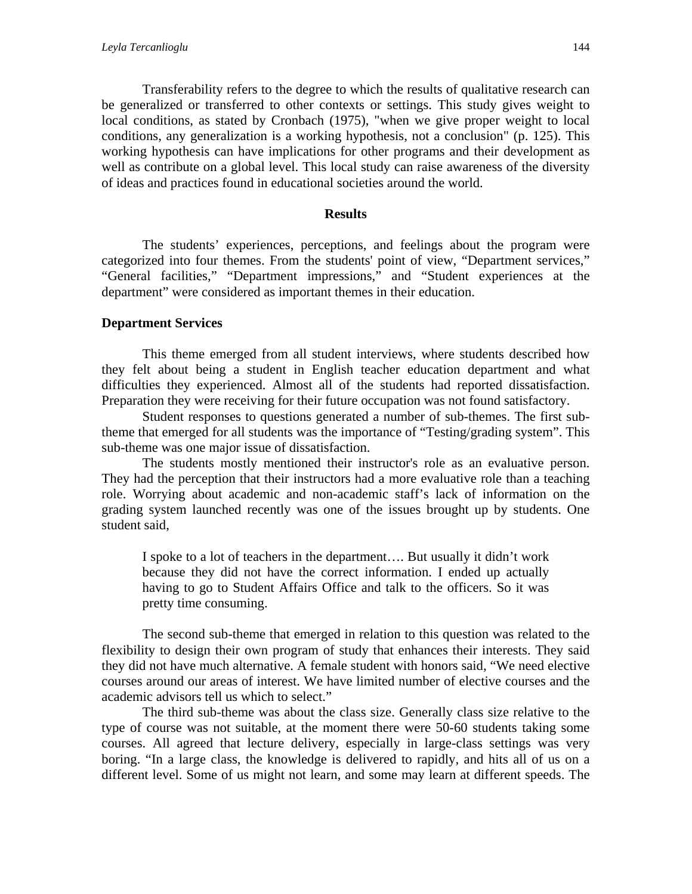Transferability refers to the degree to which the results of qualitative research can be generalized or transferred to other contexts or settings. This study gives weight to local conditions, as stated by Cronbach (1975), "when we give proper weight to local conditions, any generalization is a working hypothesis, not a conclusion" (p. 125). This working hypothesis can have implications for other programs and their development as well as contribute on a global level. This local study can raise awareness of the diversity of ideas and practices found in educational societies around the world.

### **Results**

The students' experiences, perceptions, and feelings about the program were categorized into four themes. From the students' point of view, "Department services," "General facilities," "Department impressions," and "Student experiences at the department" were considered as important themes in their education.

## **Department Services**

This theme emerged from all student interviews, where students described how they felt about being a student in English teacher education department and what difficulties they experienced. Almost all of the students had reported dissatisfaction. Preparation they were receiving for their future occupation was not found satisfactory.

Student responses to questions generated a number of sub-themes. The first subtheme that emerged for all students was the importance of "Testing/grading system". This sub-theme was one major issue of dissatisfaction.

The students mostly mentioned their instructor's role as an evaluative person. They had the perception that their instructors had a more evaluative role than a teaching role. Worrying about academic and non-academic staff's lack of information on the grading system launched recently was one of the issues brought up by students. One student said,

I spoke to a lot of teachers in the department…. But usually it didn't work because they did not have the correct information. I ended up actually having to go to Student Affairs Office and talk to the officers. So it was pretty time consuming.

The second sub-theme that emerged in relation to this question was related to the flexibility to design their own program of study that enhances their interests. They said they did not have much alternative. A female student with honors said, "We need elective courses around our areas of interest. We have limited number of elective courses and the academic advisors tell us which to select."

The third sub-theme was about the class size. Generally class size relative to the type of course was not suitable, at the moment there were 50-60 students taking some courses. All agreed that lecture delivery, especially in large-class settings was very boring. "In a large class, the knowledge is delivered to rapidly, and hits all of us on a different level. Some of us might not learn, and some may learn at different speeds. The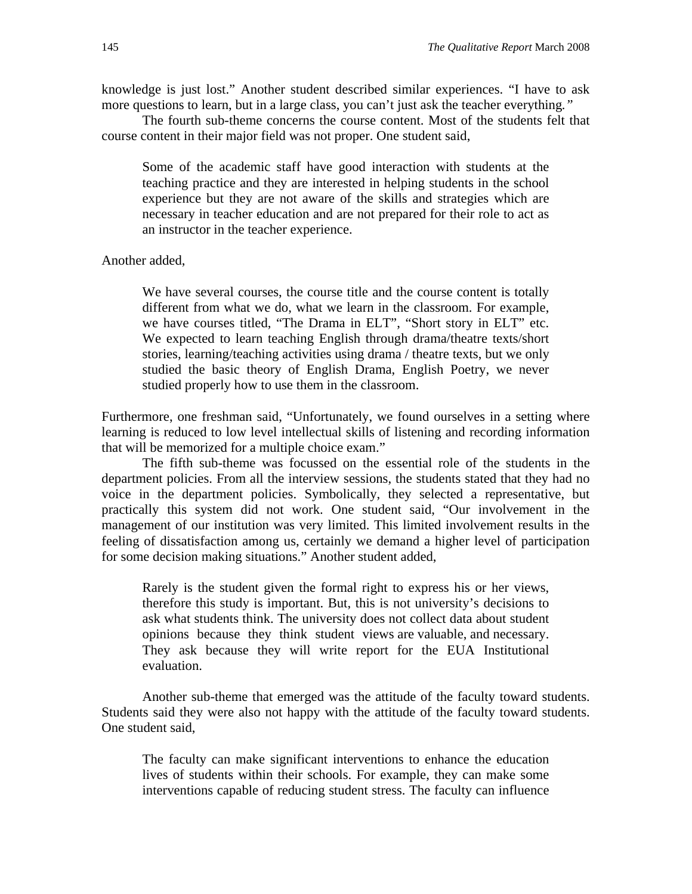knowledge is just lost." Another student described similar experiences. "I have to ask more questions to learn, but in a large class, you can't just ask the teacher everything*."* 

The fourth sub-theme concerns the course content. Most of the students felt that course content in their major field was not proper. One student said,

Some of the academic staff have good interaction with students at the teaching practice and they are interested in helping students in the school experience but they are not aware of the skills and strategies which are necessary in teacher education and are not prepared for their role to act as an instructor in the teacher experience.

Another added,

We have several courses, the course title and the course content is totally different from what we do, what we learn in the classroom. For example, we have courses titled, "The Drama in ELT", "Short story in ELT" etc. We expected to learn teaching English through drama/theatre texts/short stories, learning/teaching activities using drama / theatre texts, but we only studied the basic theory of English Drama, English Poetry, we never studied properly how to use them in the classroom.

Furthermore, one freshman said, "Unfortunately, we found ourselves in a setting where learning is reduced to low level intellectual skills of listening and recording information that will be memorized for a multiple choice exam."

The fifth sub-theme was focussed on the essential role of the students in the department policies. From all the interview sessions, the students stated that they had no voice in the department policies. Symbolically, they selected a representative, but practically this system did not work. One student said, "Our involvement in the management of our institution was very limited. This limited involvement results in the feeling of dissatisfaction among us, certainly we demand a higher level of participation for some decision making situations." Another student added,

Rarely is the student given the formal right to express his or her views, therefore this study is important. But, this is not university's decisions to ask what students think. The university does not collect data about student opinions because they think student views are valuable, and necessary. They ask because they will write report for the EUA Institutional evaluation.

Another sub-theme that emerged was the attitude of the faculty toward students. Students said they were also not happy with the attitude of the faculty toward students. One student said,

The faculty can make significant interventions to enhance the education lives of students within their schools. For example, they can make some interventions capable of reducing student stress. The faculty can influence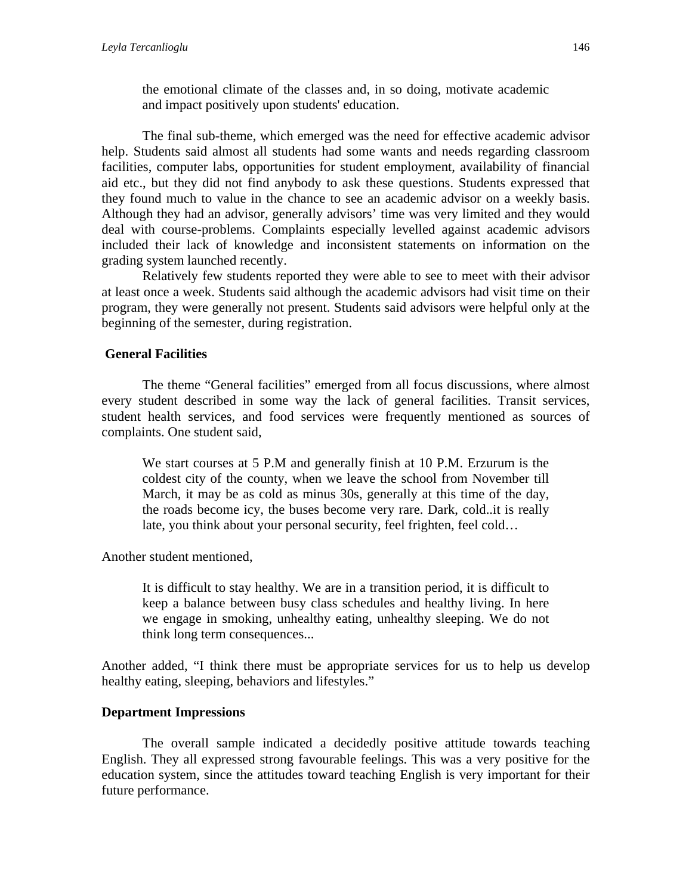the emotional climate of the classes and, in so doing, motivate academic and impact positively upon students' education.

The final sub-theme, which emerged was the need for effective academic advisor help. Students said almost all students had some wants and needs regarding classroom facilities, computer labs, opportunities for student employment, availability of financial aid etc., but they did not find anybody to ask these questions. Students expressed that they found much to value in the chance to see an academic advisor on a weekly basis. Although they had an advisor, generally advisors' time was very limited and they would deal with course-problems. Complaints especially levelled against academic advisors included their lack of knowledge and inconsistent statements on information on the grading system launched recently.

Relatively few students reported they were able to see to meet with their advisor at least once a week. Students said although the academic advisors had visit time on their program, they were generally not present. Students said advisors were helpful only at the beginning of the semester, during registration.

## **General Facilities**

The theme "General facilities" emerged from all focus discussions, where almost every student described in some way the lack of general facilities. Transit services, student health services, and food services were frequently mentioned as sources of complaints. One student said,

We start courses at 5 P.M and generally finish at 10 P.M. Erzurum is the coldest city of the county, when we leave the school from November till March, it may be as cold as minus 30s, generally at this time of the day, the roads become icy, the buses become very rare. Dark, cold..it is really late, you think about your personal security, feel frighten, feel cold…

Another student mentioned,

It is difficult to stay healthy. We are in a transition period, it is difficult to keep a balance between busy class schedules and healthy living. In here we engage in smoking, unhealthy eating, unhealthy sleeping. We do not think long term consequences...

Another added, "I think there must be appropriate services for us to help us develop healthy eating, sleeping, behaviors and lifestyles."

## **Department Impressions**

The overall sample indicated a decidedly positive attitude towards teaching English. They all expressed strong favourable feelings. This was a very positive for the education system, since the attitudes toward teaching English is very important for their future performance.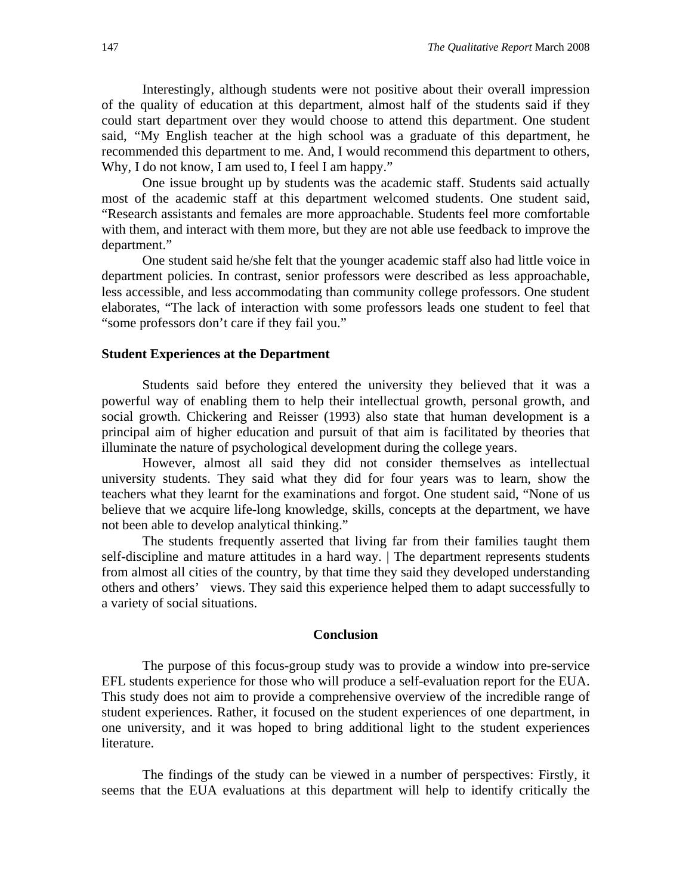Interestingly, although students were not positive about their overall impression of the quality of education at this department, almost half of the students said if they could start department over they would choose to attend this department. One student said, *"*My English teacher at the high school was a graduate of this department, he recommended this department to me. And, I would recommend this department to others, Why, I do not know, I am used to, I feel I am happy."

One issue brought up by students was the academic staff. Students said actually most of the academic staff at this department welcomed students. One student said, "Research assistants and females are more approachable. Students feel more comfortable with them, and interact with them more, but they are not able use feedback to improve the department."

One student said he/she felt that the younger academic staff also had little voice in department policies. In contrast, senior professors were described as less approachable, less accessible, and less accommodating than community college professors. One student elaborates, "The lack of interaction with some professors leads one student to feel that "some professors don't care if they fail you."

#### **Student Experiences at the Department**

Students said before they entered the university they believed that it was a powerful way of enabling them to help their intellectual growth, personal growth, and social growth. Chickering and Reisser (1993) also state that human development is a principal aim of higher education and pursuit of that aim is facilitated by theories that illuminate the nature of psychological development during the college years.

However, almost all said they did not consider themselves as intellectual university students. They said what they did for four years was to learn, show the teachers what they learnt for the examinations and forgot. One student said, "None of us believe that we acquire life-long knowledge, skills, concepts at the department, we have not been able to develop analytical thinking."

The students frequently asserted that living far from their families taught them self-discipline and mature attitudes in a hard way. | The department represents students from almost all cities of the country, by that time they said they developed understanding others and others' views. They said this experience helped them to adapt successfully to a variety of social situations.

#### **Conclusion**

The purpose of this focus-group study was to provide a window into pre-service EFL students experience for those who will produce a self-evaluation report for the EUA. This study does not aim to provide a comprehensive overview of the incredible range of student experiences. Rather, it focused on the student experiences of one department, in one university, and it was hoped to bring additional light to the student experiences literature.

The findings of the study can be viewed in a number of perspectives: Firstly, it seems that the EUA evaluations at this department will help to identify critically the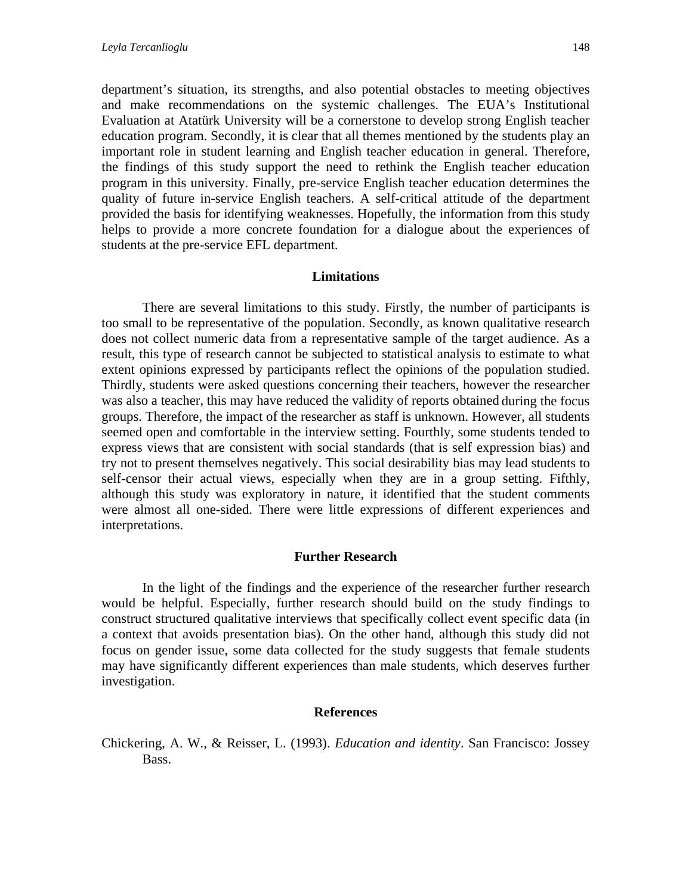department's situation, its strengths, and also potential obstacles to meeting objectives and make recommendations on the systemic challenges. The EUA's Institutional Evaluation at Atatürk University will be a cornerstone to develop strong English teacher education program. Secondly, it is clear that all themes mentioned by the students play an important role in student learning and English teacher education in general. Therefore, the findings of this study support the need to rethink the English teacher education program in this university. Finally, pre-service English teacher education determines the quality of future in-service English teachers. A self-critical attitude of the department provided the basis for identifying weaknesses. Hopefully, the information from this study helps to provide a more concrete foundation for a dialogue about the experiences of students at the pre-service EFL department.

#### **Limitations**

There are several limitations to this study. Firstly, the number of participants is too small to be representative of the population. Secondly, as known qualitative research does not collect numeric data from a representative sample of the target audience. As a result, this type of research cannot be subjected to statistical analysis to estimate to what extent opinions expressed by participants reflect the opinions of the population studied. Thirdly, students were asked questions concerning their teachers, however the researcher was also a teacher, this may have reduced the validity of reports obtained during the focus groups. Therefore, the impact of the researcher as staff is unknown. However, all students seemed open and comfortable in the interview setting. Fourthly, some students tended to express views that are consistent with social standards (that is self expression bias) and try not to present themselves negatively. This social desirability bias may lead students to self-censor their actual views, especially when they are in a group setting. Fifthly, although this study was exploratory in nature, it identified that the student comments were almost all one-sided. There were little expressions of different experiences and interpretations.

#### **Further Research**

In the light of the findings and the experience of the researcher further research would be helpful. Especially, further research should build on the study findings to construct structured qualitative interviews that specifically collect event specific data (in a context that avoids presentation bias). On the other hand, although this study did not focus on gender issue, some data collected for the study suggests that female students may have significantly different experiences than male students, which deserves further investigation.

#### **References**

Chickering, A. W., & Reisser, L. (1993). *Education and identity*. San Francisco: Jossey Bass.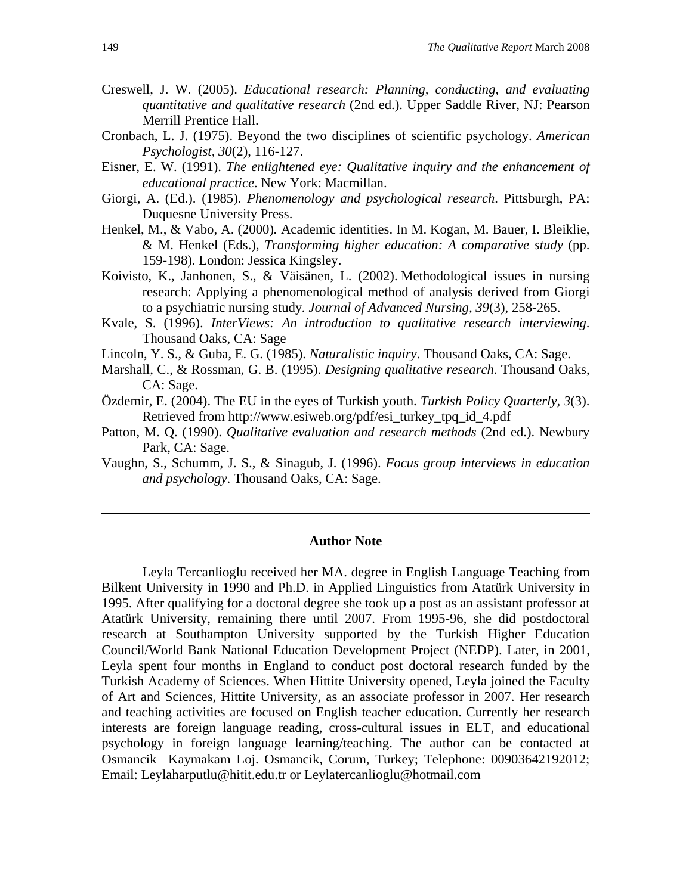- Creswell, J. W. (2005). *Educational research: Planning, conducting, and evaluating quantitative and qualitative research* (2nd ed.). Upper Saddle River, NJ: Pearson Merrill Prentice Hall.
- Cronbach, L. J. (1975). Beyond the two disciplines of scientific psychology. *American Psychologist, 30*(2), 116-127.
- Eisner, E. W. (1991). *The enlightened eye: Qualitative inquiry and the enhancement of educational practice*. New York: Macmillan.
- Giorgi, A. (Ed.). (1985). *Phenomenology and psychological research*. Pittsburgh, PA: Duquesne University Press.
- Henkel, M., & Vabo, A. (2000)*.* Academic identities. In M. Kogan, M. Bauer, I. Bleiklie, & M. Henkel (Eds.), *Transforming higher education: A comparative study* (pp. 159-198). London: Jessica Kingsley.
- Koivisto, K., Janhonen, S., & Väisänen, L. (2002). Methodological issues in nursing research: Applying a phenomenological method of analysis derived from Giorgi to a psychiatric nursing study*. Journal of Advanced Nursing, 39*(3), 258**-**265.
- Kvale, S. (1996). *InterViews: An introduction to qualitative research interviewing*. Thousand Oaks, CA: Sage
- Lincoln, Y. S., & Guba, E. G. (1985). *Naturalistic inquiry*. Thousand Oaks, CA: Sage.
- Marshall, C., & Rossman, G. B. (1995). *Designing qualitative research.* Thousand Oaks, CA: Sage.
- Özdemir, E. (2004). The EU in the eyes of Turkish youth. *Turkish Policy Quarterly, 3*(3). Retrieved from http://www.esiweb.org/pdf/esi\_turkey\_tpq\_id\_4.pdf
- Patton, M. Q. (1990). *Qualitative evaluation and research methods* (2nd ed.). Newbury Park, CA: Sage.
- Vaughn, S., Schumm, J. S., & Sinagub, J. (1996). *Focus group interviews in education and psychology*. Thousand Oaks, CA: Sage.

#### **Author Note**

Leyla Tercanlioglu received her MA. degree in English Language Teaching from Bilkent University in 1990 and Ph.D. in Applied Linguistics from Atatürk University in 1995. After qualifying for a doctoral degree she took up a post as an assistant professor at Atatürk University, remaining there until 2007. From 1995-96, she did postdoctoral research at Southampton University supported by the Turkish Higher Education Council/World Bank National Education Development Project (NEDP). Later, in 2001, Leyla spent four months in England to conduct post doctoral research funded by the Turkish Academy of Sciences. When Hittite University opened, Leyla joined the Faculty of Art and Sciences, Hittite University, as an associate professor in 2007. Her research and teaching activities are focused on English teacher education. Currently her research interests are foreign language reading, cross-cultural issues in ELT, and educational psychology in foreign language learning/teaching. The author can be contacted at Osmancik Kaymakam Loj. Osmancik, Corum, Turkey; Telephone: 00903642192012; Email: Leylaharputlu@hitit.edu.tr or Leylatercanlioglu@hotmail.com